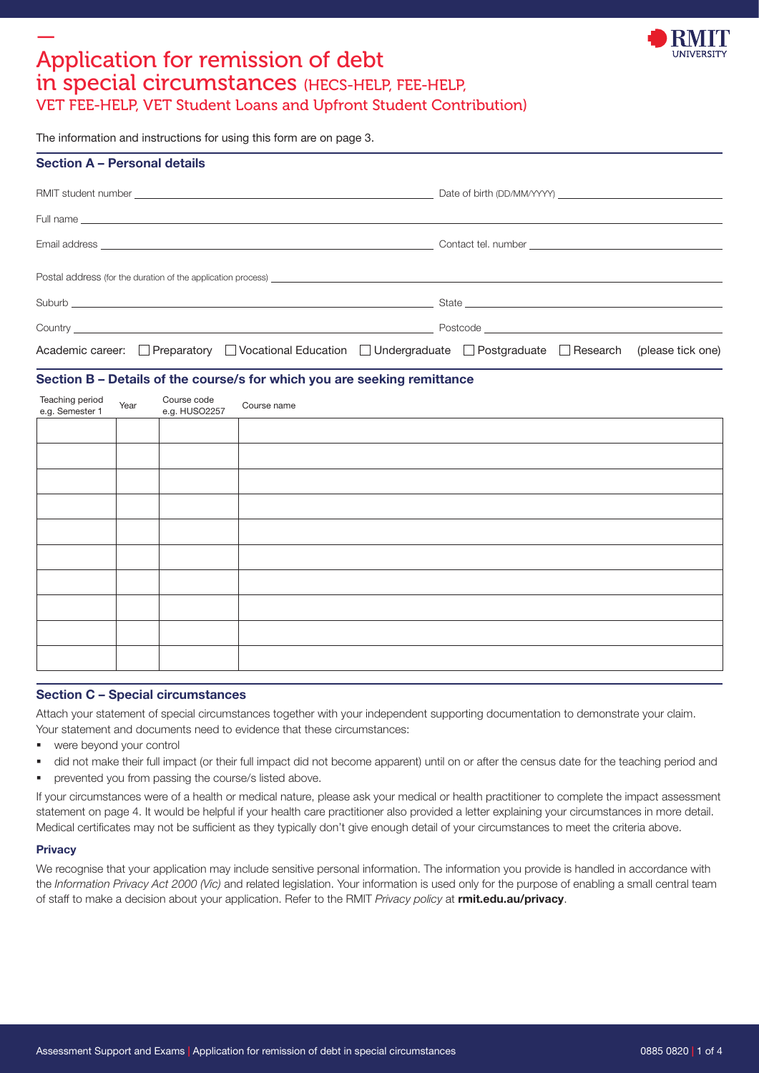

# — Application for remission of debt in special circumstances (HECS-HELP, FEE-HELP,

VET FEE-HELP, VET Student Loans and Upfront Student Contribution)

The information and instructions for using this form are on page 3.

| Postal address (for the duration of the application process) example and the state of the state of the state of the state of the state of the state of the state of the state of the state of the state of the state of the st |
|--------------------------------------------------------------------------------------------------------------------------------------------------------------------------------------------------------------------------------|
|                                                                                                                                                                                                                                |
|                                                                                                                                                                                                                                |
| Academic career: Preparatory Vocational Education Undergraduate Postgraduate Research (please tick one)                                                                                                                        |
|                                                                                                                                                                                                                                |

#### Section B – Details of the course/s for which you are seeking remittance

| Teaching period<br>e.g. Semester 1<br>Course code<br>e.g. HUSO2257 |  |
|--------------------------------------------------------------------|--|
|                                                                    |  |
|                                                                    |  |
|                                                                    |  |
|                                                                    |  |
|                                                                    |  |
|                                                                    |  |
|                                                                    |  |
|                                                                    |  |
|                                                                    |  |
|                                                                    |  |

#### Section C – Special circumstances

Attach your statement of special circumstances together with your independent supporting documentation to demonstrate your claim. Your statement and documents need to evidence that these circumstances:

- were beyond your control
- did not make their full impact (or their full impact did not become apparent) until on or after the census date for the teaching period and
- prevented you from passing the course/s listed above.

If your circumstances were of a health or medical nature, please ask your medical or health practitioner to complete the impact assessment statement on page 4. It would be helpful if your health care practitioner also provided a letter explaining your circumstances in more detail. Medical certificates may not be sufficient as they typically don't give enough detail of your circumstances to meet the criteria above.

#### **Privacy**

We recognise that your application may include sensitive personal information. The information you provide is handled in accordance with the Information Privacy Act 2000 (Vic) and related legislation. Your information is used only for the purpose of enabling a small central team of staff to make a decision about your application. Refer to the RMIT Privacy policy at [rmit.edu.au/privacy](https://www.rmit.edu.au/utilities/privacy).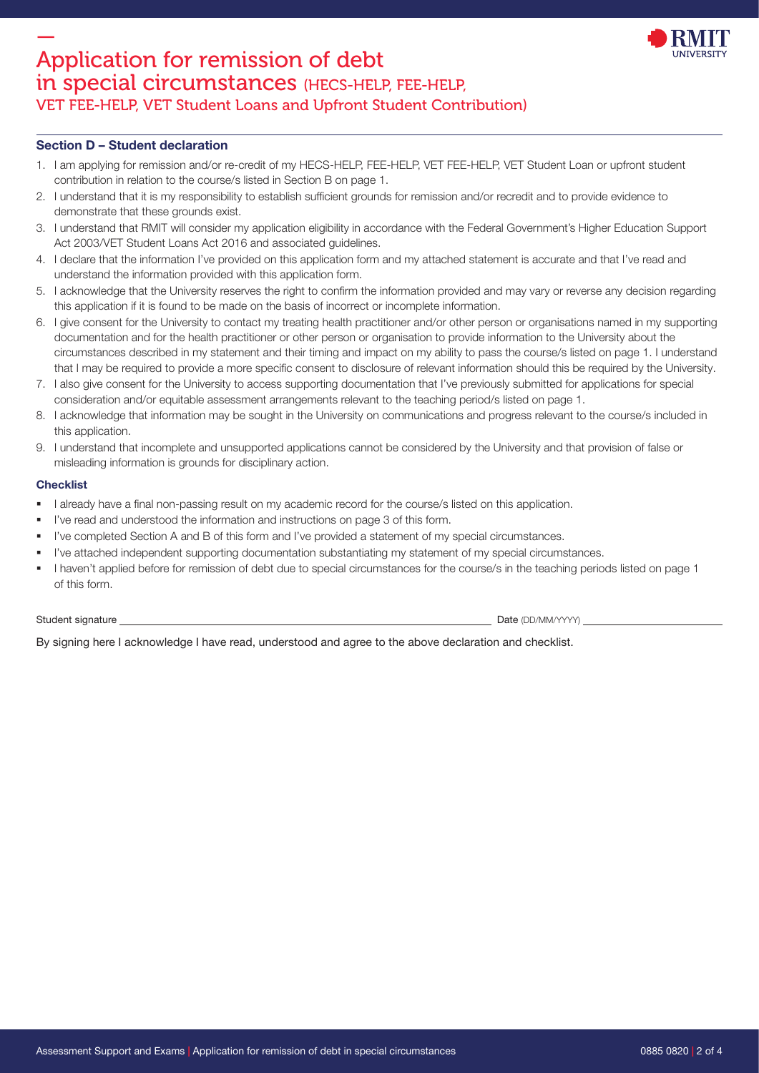

#### Section D – Student declaration

- 1. I am applying for remission and/or re-credit of my HECS-HELP, FEE-HELP, VET FEE-HELP, VET Student Loan or upfront student contribution in relation to the course/s listed in Section B on page 1.
- 2. I understand that it is my responsibility to establish sufficient grounds for remission and/or recredit and to provide evidence to demonstrate that these grounds exist.
- 3. I understand that RMIT will consider my application eligibility in accordance with the Federal Government's Higher Education Support Act 2003/VET Student Loans Act 2016 and associated guidelines.
- 4. I declare that the information I've provided on this application form and my attached statement is accurate and that I've read and understand the information provided with this application form.
- 5. I acknowledge that the University reserves the right to confirm the information provided and may vary or reverse any decision regarding this application if it is found to be made on the basis of incorrect or incomplete information.
- 6. I give consent for the University to contact my treating health practitioner and/or other person or organisations named in my supporting documentation and for the health practitioner or other person or organisation to provide information to the University about the circumstances described in my statement and their timing and impact on my ability to pass the course/s listed on page 1. I understand that I may be required to provide a more specific consent to disclosure of relevant information should this be required by the University.
- 7. I also give consent for the University to access supporting documentation that I've previously submitted for applications for special consideration and/or equitable assessment arrangements relevant to the teaching period/s listed on page 1.
- 8. I acknowledge that information may be sought in the University on communications and progress relevant to the course/s included in this application.
- 9. I understand that incomplete and unsupported applications cannot be considered by the University and that provision of false or misleading information is grounds for disciplinary action.

#### **Checklist**

- I already have a final non-passing result on my academic record for the course/s listed on this application.
- I've read and understood the information and instructions on page 3 of this form.
- I've completed Section A and B of this form and I've provided a statement of my special circumstances.
- I've attached independent supporting documentation substantiating my statement of my special circumstances.
- I haven't applied before for remission of debt due to special circumstances for the course/s in the teaching periods listed on page 1 of this form.

Student signature Date (DD/MM/YYYY)

By signing here I acknowledge I have read, understood and agree to the above declaration and checklist.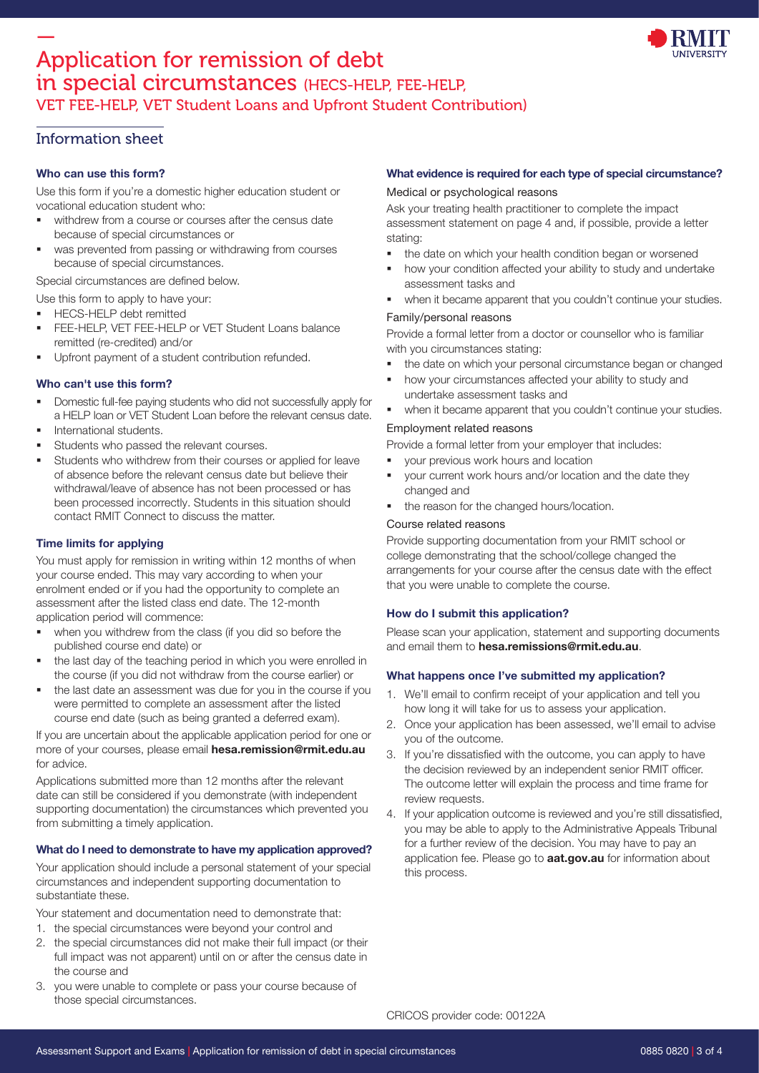

# — Application for remission of debt in special circumstances (HECS-HELP, FEE-HELP, VET FEE-HELP, VET Student Loans and Upfront Student Contribution)

## Information sheet

#### Who can use this form?

Use this form if you're a domestic higher education student or vocational education student who:

- withdrew from a course or courses after the census date because of special circumstances or
- was prevented from passing or withdrawing from courses because of special circumstances.

Special circumstances are defined below.

Use this form to apply to have your:

- HECS-HELP debt remitted
- FEE-HELP, VET FEE-HELP or VET Student Loans balance remitted (re-credited) and/or
- Upfront payment of a student contribution refunded.

#### Who can't use this form?

- Domestic full-fee paying students who did not successfully apply for a HELP loan or VET Student Loan before the relevant census date.
- International students.
- Students who passed the relevant courses.
- Students who withdrew from their courses or applied for leave of absence before the relevant census date but believe their withdrawal/leave of absence has not been processed or has been processed incorrectly. Students in this situation should contact RMIT Connect to discuss the matter.

### Time limits for applying

You must apply for remission in writing within 12 months of when your course ended. This may vary according to when your enrolment ended or if you had the opportunity to complete an assessment after the listed class end date. The 12-month application period will commence:

- when you withdrew from the class (if you did so before the published course end date) or
- the last day of the teaching period in which you were enrolled in the course (if you did not withdraw from the course earlier) or
- the last date an assessment was due for you in the course if you were permitted to complete an assessment after the listed course end date (such as being granted a deferred exam).

If you are uncertain about the applicable application period for one or more of your courses, please email [hesa.remission@rmit.edu.au](mailto:hesa.remission@rmit.edu.au) for advice.

Applications submitted more than 12 months after the relevant date can still be considered if you demonstrate (with independent supporting documentation) the circumstances which prevented you from submitting a timely application.

### What do I need to demonstrate to have my application approved?

Your application should include a personal statement of your special circumstances and independent supporting documentation to substantiate these.

Your statement and documentation need to demonstrate that:

- 1. the special circumstances were beyond your control and
- 2. the special circumstances did not make their full impact (or their full impact was not apparent) until on or after the census date in the course and
- 3. you were unable to complete or pass your course because of those special circumstances.

#### What evidence is required for each type of special circumstance?

#### Medical or psychological reasons

Ask your treating health practitioner to complete the impact assessment statement on page 4 and, if possible, provide a letter stating:

- the date on which your health condition began or worsened
- how your condition affected your ability to study and undertake assessment tasks and
- when it became apparent that you couldn't continue your studies.

#### Family/personal reasons

Provide a formal letter from a doctor or counsellor who is familiar with you circumstances stating:

- the date on which your personal circumstance began or changed
- how your circumstances affected your ability to study and undertake assessment tasks and
- when it became apparent that you couldn't continue your studies.

#### Employment related reasons

Provide a formal letter from your employer that includes:

- your previous work hours and location
- your current work hours and/or location and the date they changed and
- the reason for the changed hours/location.

#### Course related reasons

Provide supporting documentation from your RMIT school or college demonstrating that the school/college changed the arrangements for your course after the census date with the effect that you were unable to complete the course.

#### How do I submit this application?

Please scan your application, statement and supporting documents and email them to [hesa.remissions@rmit.edu.au](mailto:hesa.remissions@rmit.edu.au).

#### What happens once I've submitted my application?

- 1. We'll email to confirm receipt of your application and tell you how long it will take for us to assess your application.
- 2. Once your application has been assessed, we'll email to advise you of the outcome.
- 3. If you're dissatisfied with the outcome, you can apply to have the decision reviewed by an independent senior RMIT officer. The outcome letter will explain the process and time frame for review requests.
- 4. If your application outcome is reviewed and you're still dissatisfied, you may be able to apply to the Administrative Appeals Tribunal for a further review of the decision. You may have to pay an application fee. Please go to **[aat.gov.au](https://www.aat.gov.au/)** for information about this process.

CRICOS provider code: 00122A